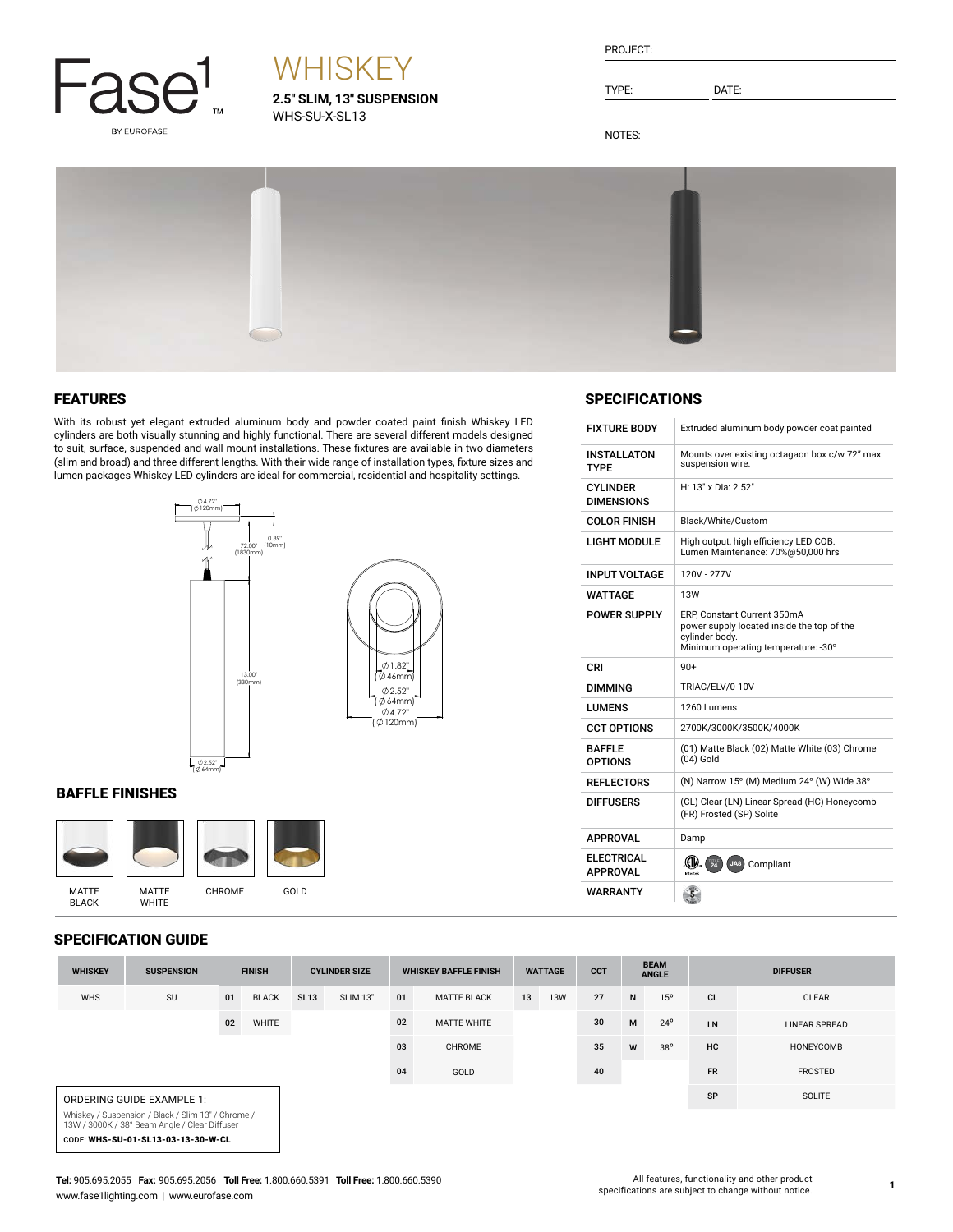

# **WHISKEY**

**2.5" SLIM, 13" SUSPENSION** WHS-SU-X-SL13

| PROJECT: |  |
|----------|--|
|          |  |

TYPE: DATE:

SPECIFICATIONS

INSTALLATON TYPE

CYLINDER DIMENSIONS

FIXTURE BODY Extruded aluminum body powder coat painted

H: 13" x Dia: 2.52"

LIGHT MODULE High output, high efficiency LED COB. Lumen Maintenance: 70%@50,000 hrs

POWER SUPPLY ERP, Constant Current 350mA power supply located inside the top of the

cylinder body.<br>Minimum operating temperature: -30°

(01) Matte Black (02) Matte White (03) Chrome

COLOR FINISH Black/White/Custom

INPUT VOLTAGE | 120V - 277V WATTAGE 13W

DIMMING TRIAC/ELV/0-10V LUMENS 1260 Lumens

CCT OPTIONS 2700K/3000K/3500K/4000K

 $(04)$  Gold

REFLECTORS  $( N )$  Narrow 15° (M) Medium 24° (W) Wide 38° DIFFUSERS (CL) Clear (LN) Linear Spread (HC) Honeycomb (FR) Frosted (SP) Solite

 $CRI$  90+

APPROVAL Damp

BAFFLE OPTIONS

**ELECTRICAL**<br>APPROVAL WARRANTY

Mounts over existing octagaon box c/w 72" max suspension wire.

NOTES:



#### FEATURES

With its robust yet elegant extruded aluminum body and powder coated paint finish Whiskey LED cylinders are both visually stunning and highly functional. There are several different models designed to suit, surface, suspended and wall mount installations. These fixtures are available in two diameters (slim and broad) and three different lengths. With their wide range of installation types, fixture sizes and lumen packages Whiskey LED cylinders are ideal for commercial, residential and hospitality settings.



#### BAFFLE FINISHES



#### SPECIFICATION GUIDE

CODE: WHS-SU-01-SL13-03-13-30-W-CL

| JFEUIFIUATIUN UUIDE                                                                                 |                   |               |              |                      |                 |                              |                    |                |            |            |                             |              |                 |                      |
|-----------------------------------------------------------------------------------------------------|-------------------|---------------|--------------|----------------------|-----------------|------------------------------|--------------------|----------------|------------|------------|-----------------------------|--------------|-----------------|----------------------|
| <b>WHISKEY</b>                                                                                      | <b>SUSPENSION</b> | <b>FINISH</b> |              | <b>CYLINDER SIZE</b> |                 | <b>WHISKEY BAFFLE FINISH</b> |                    | <b>WATTAGE</b> |            | <b>CCT</b> | <b>BEAM</b><br><b>ANGLE</b> |              | <b>DIFFUSER</b> |                      |
| <b>WHS</b>                                                                                          | SU                | 01            | <b>BLACK</b> | <b>SL13</b>          | <b>SLIM 13"</b> | 01                           | <b>MATTE BLACK</b> | 13             | <b>13W</b> | 27         | N                           | 15°          | <b>CL</b>       | CLEAR                |
|                                                                                                     |                   | 02            | WHITE        |                      |                 | 02                           | <b>MATTE WHITE</b> |                |            | 30         | M                           | $24^{\circ}$ | LN              | <b>LINEAR SPREAD</b> |
|                                                                                                     |                   |               |              |                      |                 | 03                           | <b>CHROME</b>      |                |            | 35         | W                           | $38^{\circ}$ | HC              | HONEYCOMB            |
|                                                                                                     |                   |               |              |                      |                 | 04                           | GOLD               |                |            | 40         |                             |              | <b>FR</b>       | <b>FROSTED</b>       |
| ORDERING GUIDE EXAMPLE 1:                                                                           |                   |               |              |                      |                 |                              |                    |                |            | SP         | SOLITE                      |              |                 |                      |
| Whiskey / Suspension / Black / Slim 13" / Chrome /<br>13W / 3000K / 38° Beam Angle / Clear Diffuser |                   |               |              |                      |                 |                              |                    |                |            |            |                             |              |                 |                      |

#### **Tel:** 905.695.2055 **Fax:** 905.695.2056 **Toll Free:** 1.800.660.5391 **Toll Free:** 1.800.660.5390 www.fase1lighting.com | www.eurofase.com

APPROVAL **ELLE ARE ALL AND ALL AREA** JA8 Compliant

 $\left( \frac{5}{2} \right)$